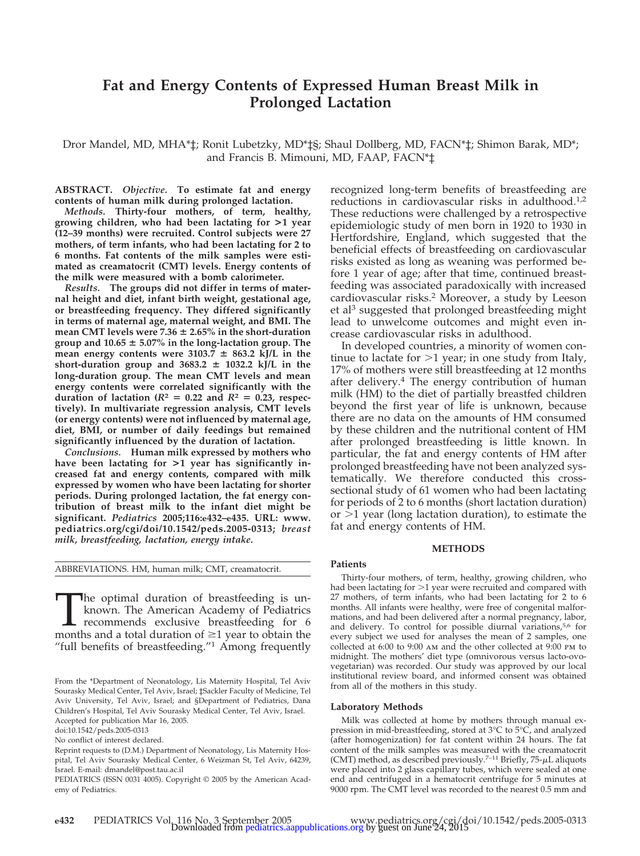# **Fat and Energy Contents of Expressed Human Breast Milk in Prolonged Lactation**

Dror Mandel, MD, MHA\*‡; Ronit Lubetzky, MD\*‡§; Shaul Dollberg, MD, FACN\*‡; Shimon Barak, MD\*; and Francis B. Mimouni, MD, FAAP, FACN\*‡

**ABSTRACT.** *Objective.* **To estimate fat and energy contents of human milk during prolonged lactation.**

*Methods.* **Thirty-four mothers, of term, healthy, growing children, who had been lactating for >1 year (12–39 months) were recruited. Control subjects were 27 mothers, of term infants, who had been lactating for 2 to 6 months. Fat contents of the milk samples were estimated as creamatocrit (CMT) levels. Energy contents of the milk were measured with a bomb calorimeter.**

*Results.* **The groups did not differ in terms of maternal height and diet, infant birth weight, gestational age, or breastfeeding frequency. They differed significantly in terms of maternal age, maternal weight, and BMI. The** mean CMT levels were  $7.36 \pm 2.65\%$  in the short-duration **group and 10.65 5.07% in the long-lactation group. The** mean energy contents were  $3103.7 \pm 863.2$  kJ/L in the short-duration group and  $3683.2 \pm 1032.2$  kJ/L in the **long-duration group. The mean CMT levels and mean energy contents were correlated significantly with the** duration of lactation ( $R$ <sup>2</sup> = 0.22 and  $R$ <sup>2</sup> = 0.23, respec**tively). In multivariate regression analysis, CMT levels (or energy contents) were not influenced by maternal age, diet, BMI, or number of daily feedings but remained significantly influenced by the duration of lactation.**

*Conclusions.* **Human milk expressed by mothers who have been lactating for >1 year has significantly increased fat and energy contents, compared with milk expressed by women who have been lactating for shorter periods. During prolonged lactation, the fat energy contribution of breast milk to the infant diet might be significant.** *Pediatrics* **2005;116:e432–e435. URL: www. pediatrics.org/cgi/doi/10.1542/peds.2005-0313;** *breast milk, breastfeeding, lactation, energy intake.*

The optimal duration of breastfeeding is unknown. The American Academy of Pediatrics recommends exclusive breastfeeding for 6 months and a total duration of  $\geq 1$  year to obtain the known. The American Academy of Pediatrics recommends exclusive breastfeeding for 6 months and a total duration of  $\geq 1$  year to obtain the "full benefits of breastfeeding."1 Among frequently

doi:10.1542/peds.2005-0313

No conflict of interest declared.

recognized long-term benefits of breastfeeding are reductions in cardiovascular risks in adulthood.<sup>1,2</sup> These reductions were challenged by a retrospective epidemiologic study of men born in 1920 to 1930 in Hertfordshire, England, which suggested that the beneficial effects of breastfeeding on cardiovascular risks existed as long as weaning was performed before 1 year of age; after that time, continued breastfeeding was associated paradoxically with increased cardiovascular risks.2 Moreover, a study by Leeson et al<sup>3</sup> suggested that prolonged breastfeeding might lead to unwelcome outcomes and might even increase cardiovascular risks in adulthood.

In developed countries, a minority of women continue to lactate for  $>1$  year; in one study from Italy, 17% of mothers were still breastfeeding at 12 months after delivery.<sup>4</sup> The energy contribution of human milk (HM) to the diet of partially breastfed children beyond the first year of life is unknown, because there are no data on the amounts of HM consumed by these children and the nutritional content of HM after prolonged breastfeeding is little known. In particular, the fat and energy contents of HM after prolonged breastfeeding have not been analyzed systematically. We therefore conducted this crosssectional study of 61 women who had been lactating for periods of 2 to 6 months (short lactation duration) or  $>1$  year (long lactation duration), to estimate the fat and energy contents of HM.

## **METHODS**

#### **Patients**

Thirty-four mothers, of term, healthy, growing children, who had been lactating for  $>1$  year were recruited and compared with 27 mothers, of term infants, who had been lactating for 2 to 6 months. All infants were healthy, were free of congenital malformations, and had been delivered after a normal pregnancy, labor, and delivery. To control for possible diurnal variations,<sup>5,6</sup> for every subject we used for analyses the mean of 2 samples, one collected at 6:00 to 9:00 am and the other collected at 9:00 pm to midnight. The mothers' diet type (omnivorous versus lacto-ovovegetarian) was recorded. Our study was approved by our local institutional review board, and informed consent was obtained from all of the mothers in this study.

#### **Laboratory Methods**

Milk was collected at home by mothers through manual expression in mid-breastfeeding, stored at 3°C to 5°C, and analyzed (after homogenization) for fat content within 24 hours. The fat content of the milk samples was measured with the creamatocrit (CMT) method, as described previously.<sup>7-11</sup> Briefly,  $75-\mu L$  aliquots were placed into 2 glass capillary tubes, which were sealed at one end and centrifuged in a hematocrit centrifuge for 5 minutes at 9000 rpm. The CMT level was recorded to the nearest 0.5 mm and

From the \*Department of Neonatology, Lis Maternity Hospital, Tel Aviv Sourasky Medical Center, Tel Aviv, Israel; ‡Sackler Faculty of Medicine, Tel Aviv University, Tel Aviv, Israel; and §Department of Pediatrics, Dana Children's Hospital, Tel Aviv Sourasky Medical Center, Tel Aviv, Israel. Accepted for publication Mar 16, 2005.

Reprint requests to (D.M.) Department of Neonatology, Lis Maternity Hospital, Tel Aviv Sourasky Medical Center, 6 Weizman St, Tel Aviv, 64239, Israel. E-mail: dmandel@post.tau.ac.il

PEDIATRICS (ISSN 0031 4005). Copyright © 2005 by the American Academy of Pediatrics.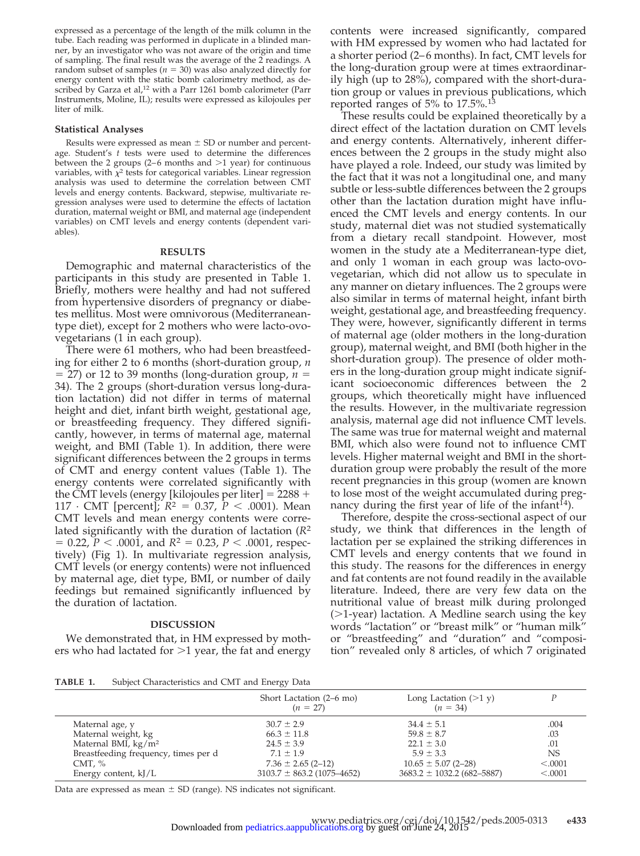expressed as a percentage of the length of the milk column in the tube. Each reading was performed in duplicate in a blinded manner, by an investigator who was not aware of the origin and time of sampling. The final result was the average of the 2 readings. A random subset of samples ( $n = 30$ ) was also analyzed directly for energy content with the static bomb calorimetry method, as described by Garza et al,<sup>12</sup> with a Parr 1261 bomb calorimeter (Parr Instruments, Moline, IL); results were expressed as kilojoules per liter of milk.

#### **Statistical Analyses**

Results were expressed as mean  $\pm$  SD or number and percentage. Student's *t* tests were used to determine the differences between the 2 groups (2–6 months and  $>1$  year) for continuous variables, with  $\chi^2$  tests for categorical variables. Linear regression analysis was used to determine the correlation between CMT levels and energy contents. Backward, stepwise, multivariate regression analyses were used to determine the effects of lactation duration, maternal weight or BMI, and maternal age (independent variables) on CMT levels and energy contents (dependent variables).

## **RESULTS**

Demographic and maternal characteristics of the participants in this study are presented in Table 1. Briefly, mothers were healthy and had not suffered from hypertensive disorders of pregnancy or diabetes mellitus. Most were omnivorous (Mediterraneantype diet), except for 2 mothers who were lacto-ovovegetarians (1 in each group).

There were 61 mothers, who had been breastfeeding for either 2 to 6 months (short-duration group, *n*  $=$  27) or 12 to 39 months (long-duration group,  $n =$ 34). The 2 groups (short-duration versus long-duration lactation) did not differ in terms of maternal height and diet, infant birth weight, gestational age, or breastfeeding frequency. They differed significantly, however, in terms of maternal age, maternal weight, and BMI (Table 1). In addition, there were significant differences between the 2 groups in terms of CMT and energy content values (Table 1). The energy contents were correlated significantly with the CMT levels (energy [kilojoules per liter]  $= 2288 +$ 117 · CMT [percent];  $R^2 = 0.37$ ,  $P < .0001$ ). Mean CMT levels and mean energy contents were correlated significantly with the duration of lactation (*R*<sup>2</sup>  $= 0.22, P < .0001,$  and  $R<sup>2</sup> = 0.23, P < .0001,$  respectively) (Fig 1). In multivariate regression analysis, CMT levels (or energy contents) were not influenced by maternal age, diet type, BMI, or number of daily feedings but remained significantly influenced by the duration of lactation.

### **DISCUSSION**

We demonstrated that, in HM expressed by mothers who had lactated for  $>1$  year, the fat and energy

contents were increased significantly, compared with HM expressed by women who had lactated for a shorter period (2–6 months). In fact, CMT levels for the long-duration group were at times extraordinarily high (up to 28%), compared with the short-duration group or values in previous publications, which reported ranges of 5% to  $17.5\%$ .<sup>13</sup>

These results could be explained theoretically by a direct effect of the lactation duration on CMT levels and energy contents. Alternatively, inherent differences between the 2 groups in the study might also have played a role. Indeed, our study was limited by the fact that it was not a longitudinal one, and many subtle or less-subtle differences between the 2 groups other than the lactation duration might have influenced the CMT levels and energy contents. In our study, maternal diet was not studied systematically from a dietary recall standpoint. However, most women in the study ate a Mediterranean-type diet, and only 1 woman in each group was lacto-ovovegetarian, which did not allow us to speculate in any manner on dietary influences. The 2 groups were also similar in terms of maternal height, infant birth weight, gestational age, and breastfeeding frequency. They were, however, significantly different in terms of maternal age (older mothers in the long-duration group), maternal weight, and BMI (both higher in the short-duration group). The presence of older mothers in the long-duration group might indicate significant socioeconomic differences between the 2 groups, which theoretically might have influenced the results. However, in the multivariate regression analysis, maternal age did not influence CMT levels. The same was true for maternal weight and maternal BMI, which also were found not to influence CMT levels. Higher maternal weight and BMI in the shortduration group were probably the result of the more recent pregnancies in this group (women are known to lose most of the weight accumulated during pregnancy during the first year of life of the infant $14$ ).

Therefore, despite the cross-sectional aspect of our study, we think that differences in the length of lactation per se explained the striking differences in CMT levels and energy contents that we found in this study. The reasons for the differences in energy and fat contents are not found readily in the available literature. Indeed, there are very few data on the nutritional value of breast milk during prolonged  $(>1$ -year) lactation. A Medline search using the key words "lactation" or "breast milk" or "human milk" or "breastfeeding" and "duration" and "composition" revealed only 8 articles, of which 7 originated

**TABLE 1.** Subject Characteristics and CMT and Energy Data

|                                      | Short Lactation (2–6 mo)<br>$(n = 27)$ | Long Lactation $(>1 y)$<br>$(n = 34)$ |           |
|--------------------------------------|----------------------------------------|---------------------------------------|-----------|
| Maternal age, y                      | $30.7 \pm 2.9$                         | $34.4 \pm 5.1$                        | .004      |
| Maternal weight, kg                  | $66.3 \pm 11.8$                        | $59.8 \pm 8.7$                        | .03       |
| Maternal BMI, $\text{kg/m}^2$        | $24.5 \pm 3.9$                         | $22.1 \pm 3.0$                        | .01       |
| Breastfeeding frequency, times per d | $7.1 \pm 1.9$                          | $5.9 \pm 3.3$                         | <b>NS</b> |
| CMT, $\%$                            | $7.36 \pm 2.65$ (2-12)                 | $10.65 \pm 5.07$ (2-28)               | < .0001   |
| Energy content, $kJ/L$               | $3103.7 \pm 863.2$ (1075-4652)         | $3683.2 \pm 1032.2$ (682-5887)        | < .0001   |

Data are expressed as mean  $\pm$  SD (range). NS indicates not significant.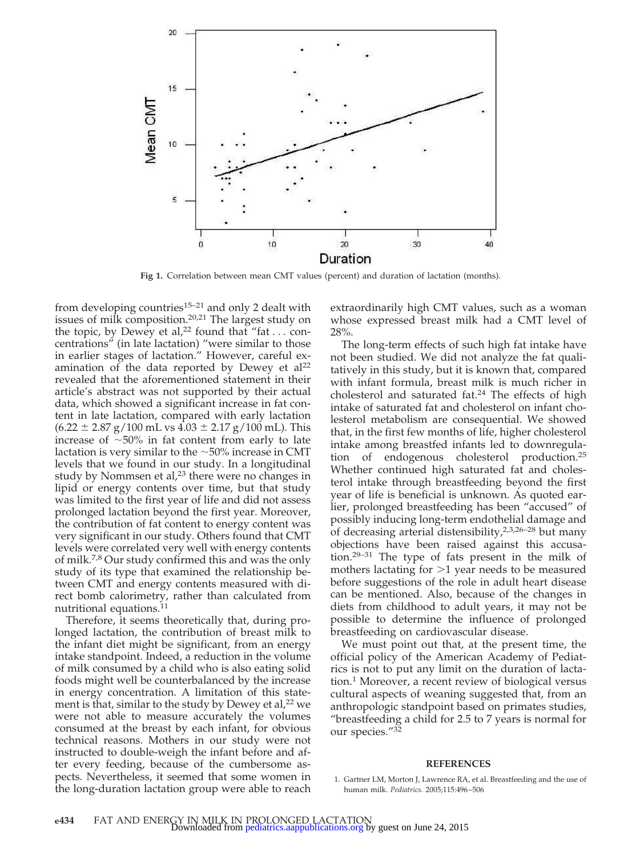

Fig 1. Correlation between mean CMT values (percent) and duration of lactation (months).

from developing countries<sup>15–21</sup> and only 2 dealt with issues of milk composition.<sup>20,21</sup> The largest study on the topic, by Dewey et al,<sup>22</sup> found that "fat  $\dots$  concentrations" (in late lactation) "were similar to those in earlier stages of lactation." However, careful examination of the data reported by Dewey et  $al^{22}$ revealed that the aforementioned statement in their article's abstract was not supported by their actual data, which showed a significant increase in fat content in late lactation, compared with early lactation  $(6.22 \pm 2.87 \text{ g}/100 \text{ mL} \text{ vs } 4.03 \pm 2.17 \text{ g}/100 \text{ mL})$ . This increase of  $\sim$ 50% in fat content from early to late lactation is very similar to the  $\sim$ 50% increase in CMT levels that we found in our study. In a longitudinal study by Nommsen et al, $2<sup>3</sup>$  there were no changes in lipid or energy contents over time, but that study was limited to the first year of life and did not assess prolonged lactation beyond the first year. Moreover, the contribution of fat content to energy content was very significant in our study. Others found that CMT levels were correlated very well with energy contents of milk.7,8 Our study confirmed this and was the only study of its type that examined the relationship between CMT and energy contents measured with direct bomb calorimetry, rather than calculated from nutritional equations.<sup>11</sup>

Therefore, it seems theoretically that, during prolonged lactation, the contribution of breast milk to the infant diet might be significant, from an energy intake standpoint. Indeed, a reduction in the volume of milk consumed by a child who is also eating solid foods might well be counterbalanced by the increase in energy concentration. A limitation of this statement is that, similar to the study by Dewey et al,<sup>22</sup> we were not able to measure accurately the volumes consumed at the breast by each infant, for obvious technical reasons. Mothers in our study were not instructed to double-weigh the infant before and after every feeding, because of the cumbersome aspects. Nevertheless, it seemed that some women in the long-duration lactation group were able to reach

extraordinarily high CMT values, such as a woman whose expressed breast milk had a CMT level of 28%.

The long-term effects of such high fat intake have not been studied. We did not analyze the fat qualitatively in this study, but it is known that, compared with infant formula, breast milk is much richer in cholesterol and saturated fat.<sup>24</sup> The effects of high intake of saturated fat and cholesterol on infant cholesterol metabolism are consequential. We showed that, in the first few months of life, higher cholesterol intake among breastfed infants led to downregulation of endogenous cholesterol production.25 Whether continued high saturated fat and cholesterol intake through breastfeeding beyond the first year of life is beneficial is unknown. As quoted earlier, prolonged breastfeeding has been "accused" of possibly inducing long-term endothelial damage and of decreasing arterial distensibility,2,3,26–28 but many objections have been raised against this accusation.29–31 The type of fats present in the milk of mothers lactating for  $>1$  year needs to be measured before suggestions of the role in adult heart disease can be mentioned. Also, because of the changes in diets from childhood to adult years, it may not be possible to determine the influence of prolonged breastfeeding on cardiovascular disease.

We must point out that, at the present time, the official policy of the American Academy of Pediatrics is not to put any limit on the duration of lactation.1 Moreover, a recent review of biological versus cultural aspects of weaning suggested that, from an anthropologic standpoint based on primates studies, "breastfeeding a child for 2.5 to 7 years is normal for our species."32

#### **REFERENCES**

<sup>1.</sup> Gartner LM, Morton J, Lawrence RA, et al. Breastfeeding and the use of human milk. *Pediatrics.* 2005;115:496 –506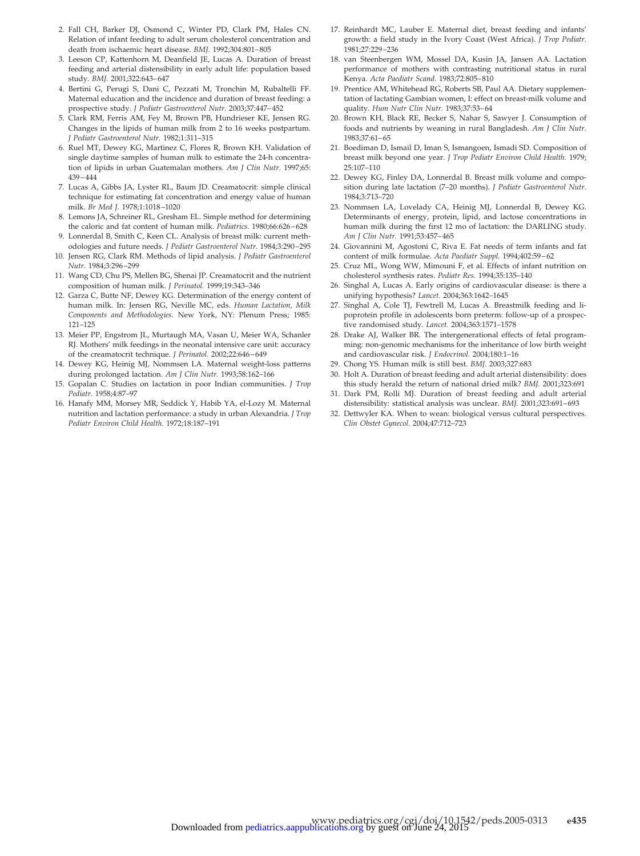- 2. Fall CH, Barker DJ, Osmond C, Winter PD, Clark PM, Hales CN. Relation of infant feeding to adult serum cholesterol concentration and death from ischaemic heart disease. *BMJ.* 1992;304:801– 805
- 3. Leeson CP, Kattenhorn M, Deanfield JE, Lucas A. Duration of breast feeding and arterial distensibility in early adult life: population based study. *BMJ.* 2001;322:643– 647
- 4. Bertini G, Perugi S, Dani C, Pezzati M, Tronchin M, Rubaltelli FF. Maternal education and the incidence and duration of breast feeding: a prospective study. *J Pediatr Gastroenterol Nutr.* 2003;37:447– 452
- 5. Clark RM, Ferris AM, Fey M, Brown PB, Hundrieser KE, Jensen RG. Changes in the lipids of human milk from 2 to 16 weeks postpartum. *J Pediatr Gastroenterol Nutr.* 1982;1:311–315
- 6. Ruel MT, Dewey KG, Martinez C, Flores R, Brown KH. Validation of single daytime samples of human milk to estimate the 24-h concentration of lipids in urban Guatemalan mothers. *Am J Clin Nutr.* 1997;65: 439 – 444
- 7. Lucas A, Gibbs JA, Lyster RL, Baum JD. Creamatocrit: simple clinical technique for estimating fat concentration and energy value of human milk. *Br Med J.* 1978;1:1018 –1020
- 8. Lemons JA, Schreiner RL, Gresham EL. Simple method for determining the caloric and fat content of human milk. *Pediatrics.* 1980;66:626 – 628
- 9. Lonnerdal B, Smith C, Keen CL. Analysis of breast milk: current methodologies and future needs. *J Pediatr Gastroenterol Nutr.* 1984;3:290 –295
- 10. Jensen RG, Clark RM. Methods of lipid analysis. *J Pediatr Gastroenterol Nutr.* 1984;3:296 –299
- 11. Wang CD, Chu PS, Mellen BG, Shenai JP. Creamatocrit and the nutrient composition of human milk. *J Perinatol.* 1999;19:343–346
- 12. Garza C, Butte NF, Dewey KG. Determination of the energy content of human milk. In: Jensen RG, Neville MC, eds. *Human Lactation, Milk Components and Methodologies*. New York, NY: Plenum Press; 1985: 121–125
- 13. Meier PP, Engstrom JL, Murtaugh MA, Vasan U, Meier WA, Schanler RJ. Mothers' milk feedings in the neonatal intensive care unit: accuracy of the creamatocrit technique. *J Perinatol.* 2002;22:646 – 649
- 14. Dewey KG, Heinig MJ, Nommsen LA. Maternal weight-loss patterns during prolonged lactation. *Am J Clin Nutr.* 1993;58:162–166
- 15. Gopalan C. Studies on lactation in poor Indian communities. *J Trop Pediatr.* 1958;4:87–97
- 16. Hanafy MM, Morsey MR, Seddick Y, Habib YA, el-Lozy M. Maternal nutrition and lactation performance: a study in urban Alexandria. *J Trop Pediatr Environ Child Health.* 1972;18:187–191
- 17. Reinhardt MC, Lauber E. Maternal diet, breast feeding and infants' growth: a field study in the Ivory Coast (West Africa). *J Trop Pediatr.* 1981;27:229 –236
- 18. van Steenbergen WM, Mossel DA, Kusin JA, Jansen AA. Lactation performance of mothers with contrasting nutritional status in rural Kenya. *Acta Paediatr Scand.* 1983;72:805– 810
- 19. Prentice AM, Whitehead RG, Roberts SB, Paul AA. Dietary supplementation of lactating Gambian women, I: effect on breast-milk volume and quality. *Hum Nutr Clin Nutr.* 1983;37:53– 64
- 20. Brown KH, Black RE, Becker S, Nahar S, Sawyer J. Consumption of foods and nutrients by weaning in rural Bangladesh. *Am J Clin Nutr.* 1983;37:61– 65
- 21. Boediman D, Ismail D, Iman S, Ismangoen, Ismadi SD. Composition of breast milk beyond one year. *J Trop Pediatr Environ Child Health.* 1979; 25:107–110
- 22. Dewey KG, Finley DA, Lonnerdal B. Breast milk volume and composition during late lactation (7–20 months). *J Pediatr Gastroenterol Nutr.* 1984;3:713–720
- 23. Nommsen LA, Lovelady CA, Heinig MJ, Lonnerdal B, Dewey KG. Determinants of energy, protein, lipid, and lactose concentrations in human milk during the first 12 mo of lactation: the DARLING study. *Am J Clin Nutr.* 1991;53:457– 465
- 24. Giovannini M, Agostoni C, Riva E. Fat needs of term infants and fat content of milk formulae. *Acta Paediatr Suppl.* 1994;402:59 – 62
- 25. Cruz ML, Wong WW, Mimouni F, et al. Effects of infant nutrition on cholesterol synthesis rates. *Pediatr Res.* 1994;35:135–140
- 26. Singhal A, Lucas A. Early origins of cardiovascular disease: is there a unifying hypothesis? *Lancet.* 2004;363:1642–1645
- 27. Singhal A, Cole TJ, Fewtrell M, Lucas A. Breastmilk feeding and lipoprotein profile in adolescents born preterm: follow-up of a prospective randomised study. *Lancet.* 2004;363:1571–1578
- 28. Drake AJ, Walker BR. The intergenerational effects of fetal programming: non-genomic mechanisms for the inheritance of low birth weight and cardiovascular risk. *J Endocrinol.* 2004;180:1–16
- 29. Chong YS. Human milk is still best. *BMJ.* 2003;327:683
- 30. Holt A. Duration of breast feeding and adult arterial distensibility: does this study herald the return of national dried milk? *BMJ.* 2001;323:691
- 31. Dark PM, Rolli MJ. Duration of breast feeding and adult arterial distensibility: statistical analysis was unclear. *BMJ.* 2001;323:691– 693
- 32. Dettwyler KA. When to wean: biological versus cultural perspectives. *Clin Obstet Gynecol.* 2004;47:712–723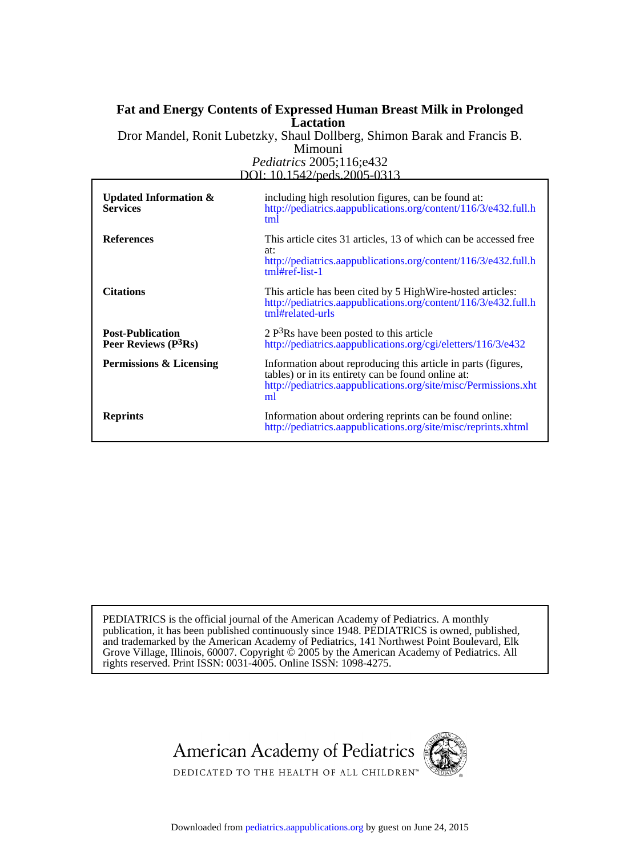# **Lactation Fat and Energy Contents of Expressed Human Breast Milk in Prolonged**

*Pediatrics* 2005;116;e432 Mimouni Dror Mandel, Ronit Lubetzky, Shaul Dollberg, Shimon Barak and Francis B.

DOI: 10.1542/peds.2005-0313

| Updated Information $\&$<br><b>Services</b>      | including high resolution figures, can be found at:<br>http://pediatrics.aappublications.org/content/116/3/e432.full.h<br>tml                                                                |
|--------------------------------------------------|----------------------------------------------------------------------------------------------------------------------------------------------------------------------------------------------|
| <b>References</b>                                | This article cites 31 articles, 13 of which can be accessed free<br>at:<br>http://pediatrics.aappublications.org/content/116/3/e432.full.h<br>$tm$ # $ref$ - $list-1$                        |
| <b>Citations</b>                                 | This article has been cited by 5 High Wire-hosted articles:<br>http://pediatrics.aappublications.org/content/116/3/e432.full.h<br>tml#related-urls                                           |
| <b>Post-Publication</b><br>Peer Reviews $(P3Rs)$ | $2 P3Rs$ have been posted to this article<br>http://pediatrics.aappublications.org/cgi/eletters/116/3/e432                                                                                   |
| Permissions & Licensing                          | Information about reproducing this article in parts (figures,<br>tables) or in its entirety can be found online at:<br>http://pediatrics.aappublications.org/site/misc/Permissions.xht<br>ml |
| <b>Reprints</b>                                  | Information about ordering reprints can be found online:<br>http://pediatrics.aappublications.org/site/misc/reprints.xhtml                                                                   |

rights reserved. Print ISSN: 0031-4005. Online ISSN: 1098-4275. Grove Village, Illinois, 60007. Copyright  $\ddot{\odot}$  2005 by the American Academy of Pediatrics. All and trademarked by the American Academy of Pediatrics, 141 Northwest Point Boulevard, Elk publication, it has been published continuously since 1948. PEDIATRICS is owned, published, PEDIATRICS is the official journal of the American Academy of Pediatrics. A monthly